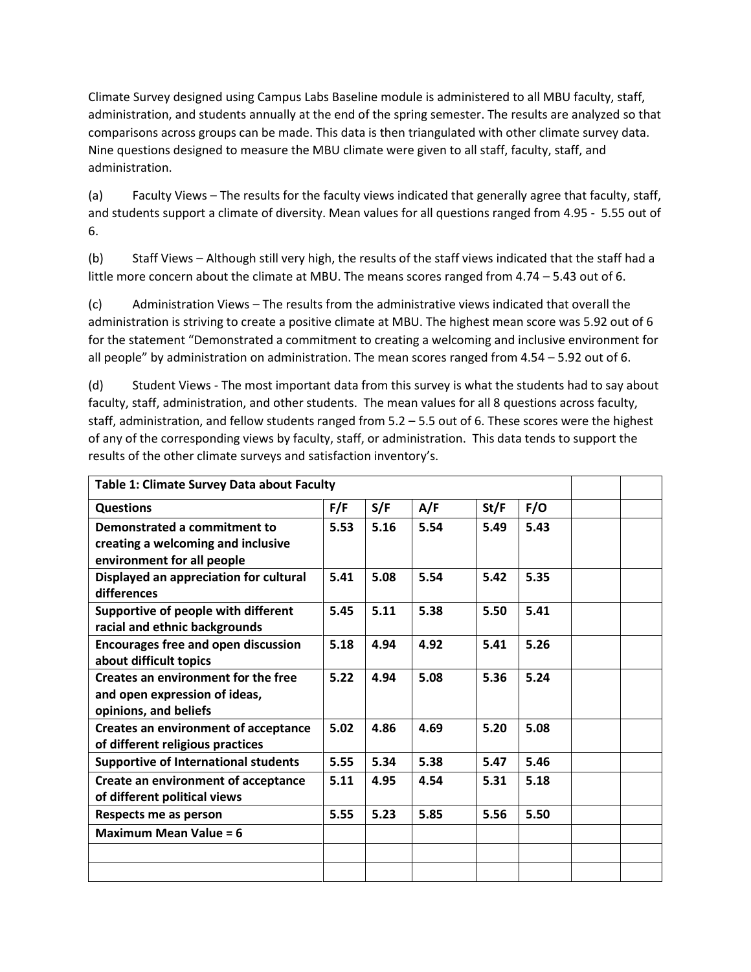Climate Survey designed using Campus Labs Baseline module is administered to all MBU faculty, staff, administration, and students annually at the end of the spring semester. The results are analyzed so that comparisons across groups can be made. This data is then triangulated with other climate survey data. Nine questions designed to measure the MBU climate were given to all staff, faculty, staff, and administration.

(a) Faculty Views – The results for the faculty views indicated that generally agree that faculty, staff, and students support a climate of diversity. Mean values for all questions ranged from 4.95 - 5.55 out of 6.

(b) Staff Views – Although still very high, the results of the staff views indicated that the staff had a little more concern about the climate at MBU. The means scores ranged from 4.74 – 5.43 out of 6.

(c) Administration Views – The results from the administrative views indicated that overall the administration is striving to create a positive climate at MBU. The highest mean score was 5.92 out of 6 for the statement "Demonstrated a commitment to creating a welcoming and inclusive environment for all people" by administration on administration. The mean scores ranged from 4.54 – 5.92 out of 6.

(d) Student Views - The most important data from this survey is what the students had to say about faculty, staff, administration, and other students. The mean values for all 8 questions across faculty, staff, administration, and fellow students ranged from 5.2 – 5.5 out of 6. These scores were the highest of any of the corresponding views by faculty, staff, or administration. This data tends to support the results of the other climate surveys and satisfaction inventory's.

| Table 1: Climate Survey Data about Faculty  |      |      |      |      |      |  |
|---------------------------------------------|------|------|------|------|------|--|
| <b>Questions</b>                            | F/F  | S/F  | A/F  | St/F | F/O  |  |
| Demonstrated a commitment to                | 5.53 | 5.16 | 5.54 | 5.49 | 5.43 |  |
| creating a welcoming and inclusive          |      |      |      |      |      |  |
| environment for all people                  |      |      |      |      |      |  |
| Displayed an appreciation for cultural      | 5.41 | 5.08 | 5.54 | 5.42 | 5.35 |  |
| differences                                 |      |      |      |      |      |  |
| Supportive of people with different         | 5.45 | 5.11 | 5.38 | 5.50 | 5.41 |  |
| racial and ethnic backgrounds               |      |      |      |      |      |  |
| <b>Encourages free and open discussion</b>  | 5.18 | 4.94 | 4.92 | 5.41 | 5.26 |  |
| about difficult topics                      |      |      |      |      |      |  |
| Creates an environment for the free         | 5.22 | 4.94 | 5.08 | 5.36 | 5.24 |  |
| and open expression of ideas,               |      |      |      |      |      |  |
| opinions, and beliefs                       |      |      |      |      |      |  |
| <b>Creates an environment of acceptance</b> | 5.02 | 4.86 | 4.69 | 5.20 | 5.08 |  |
| of different religious practices            |      |      |      |      |      |  |
| <b>Supportive of International students</b> | 5.55 | 5.34 | 5.38 | 5.47 | 5.46 |  |
| Create an environment of acceptance         | 5.11 | 4.95 | 4.54 | 5.31 | 5.18 |  |
| of different political views                |      |      |      |      |      |  |
| Respects me as person                       | 5.55 | 5.23 | 5.85 | 5.56 | 5.50 |  |
| <b>Maximum Mean Value = 6</b>               |      |      |      |      |      |  |
|                                             |      |      |      |      |      |  |
|                                             |      |      |      |      |      |  |
|                                             |      |      |      |      |      |  |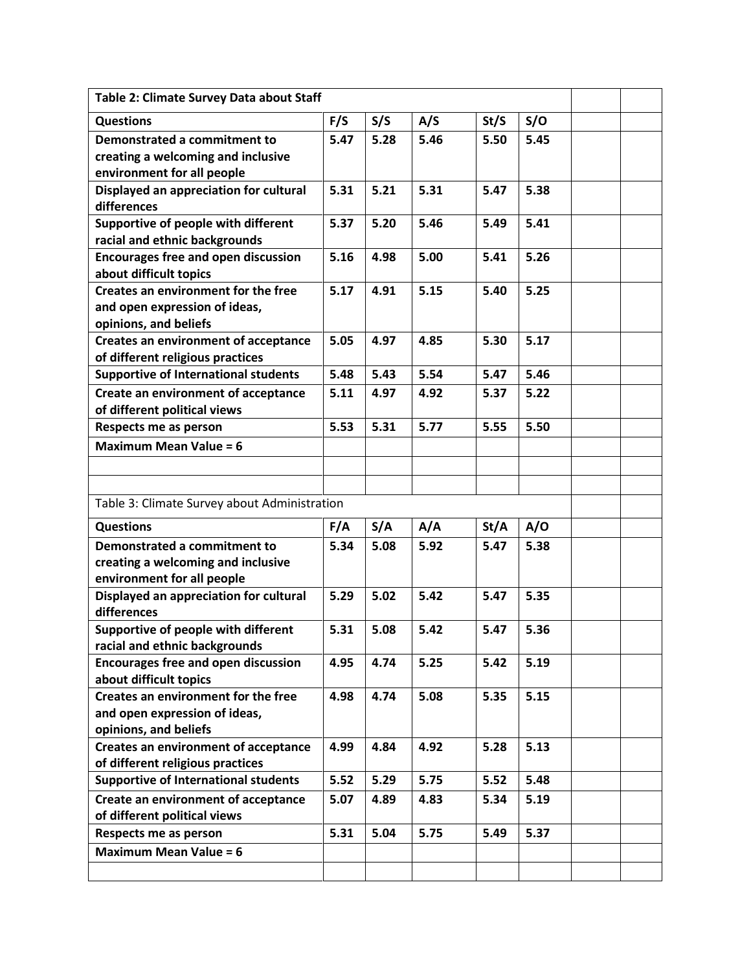| Table 2: Climate Survey Data about Staff                             |      |      |      |      |      |  |  |  |  |
|----------------------------------------------------------------------|------|------|------|------|------|--|--|--|--|
| <b>Questions</b>                                                     | F/S  | S/S  | A/S  | St/S | S/O  |  |  |  |  |
| Demonstrated a commitment to                                         | 5.47 | 5.28 | 5.46 | 5.50 | 5.45 |  |  |  |  |
| creating a welcoming and inclusive                                   |      |      |      |      |      |  |  |  |  |
| environment for all people                                           |      |      |      |      |      |  |  |  |  |
| Displayed an appreciation for cultural<br>differences                | 5.31 | 5.21 | 5.31 | 5.47 | 5.38 |  |  |  |  |
| Supportive of people with different                                  | 5.37 | 5.20 | 5.46 | 5.49 | 5.41 |  |  |  |  |
| racial and ethnic backgrounds                                        |      |      |      |      |      |  |  |  |  |
| <b>Encourages free and open discussion</b>                           | 5.16 | 4.98 | 5.00 | 5.41 | 5.26 |  |  |  |  |
| about difficult topics                                               |      |      |      |      |      |  |  |  |  |
| Creates an environment for the free                                  | 5.17 | 4.91 | 5.15 | 5.40 | 5.25 |  |  |  |  |
| and open expression of ideas,                                        |      |      |      |      |      |  |  |  |  |
| opinions, and beliefs<br><b>Creates an environment of acceptance</b> | 5.05 | 4.97 | 4.85 | 5.30 | 5.17 |  |  |  |  |
| of different religious practices                                     |      |      |      |      |      |  |  |  |  |
| <b>Supportive of International students</b>                          | 5.48 | 5.43 | 5.54 | 5.47 | 5.46 |  |  |  |  |
| Create an environment of acceptance                                  | 5.11 | 4.97 | 4.92 | 5.37 | 5.22 |  |  |  |  |
| of different political views                                         |      |      |      |      |      |  |  |  |  |
| Respects me as person                                                | 5.53 | 5.31 | 5.77 | 5.55 | 5.50 |  |  |  |  |
| <b>Maximum Mean Value = 6</b>                                        |      |      |      |      |      |  |  |  |  |
|                                                                      |      |      |      |      |      |  |  |  |  |
|                                                                      |      |      |      |      |      |  |  |  |  |
| Table 3: Climate Survey about Administration                         |      |      |      |      |      |  |  |  |  |
| <b>Questions</b>                                                     | F/A  | S/A  | A/A  | St/A | A/O  |  |  |  |  |
| Demonstrated a commitment to                                         | 5.34 | 5.08 | 5.92 | 5.47 | 5.38 |  |  |  |  |
| creating a welcoming and inclusive                                   |      |      |      |      |      |  |  |  |  |
| environment for all people                                           |      |      |      |      |      |  |  |  |  |
| Displayed an appreciation for cultural<br>differences                | 5.29 | 5.02 | 5.42 | 5.47 | 5.35 |  |  |  |  |
| Supportive of people with different                                  | 5.31 | 5.08 | 5.42 | 5.47 | 5.36 |  |  |  |  |
| racial and ethnic backgrounds                                        |      |      |      |      |      |  |  |  |  |
| <b>Encourages free and open discussion</b>                           | 4.95 | 4.74 | 5.25 | 5.42 | 5.19 |  |  |  |  |
| about difficult topics                                               |      |      |      |      |      |  |  |  |  |
| <b>Creates an environment for the free</b>                           | 4.98 | 4.74 | 5.08 | 5.35 | 5.15 |  |  |  |  |
| and open expression of ideas,<br>opinions, and beliefs               |      |      |      |      |      |  |  |  |  |
| <b>Creates an environment of acceptance</b>                          | 4.99 | 4.84 | 4.92 | 5.28 | 5.13 |  |  |  |  |
| of different religious practices                                     |      |      |      |      |      |  |  |  |  |
| <b>Supportive of International students</b>                          | 5.52 | 5.29 | 5.75 | 5.52 | 5.48 |  |  |  |  |
| Create an environment of acceptance                                  | 5.07 | 4.89 | 4.83 | 5.34 | 5.19 |  |  |  |  |
| of different political views                                         |      |      |      |      |      |  |  |  |  |
| <b>Respects me as person</b>                                         | 5.31 | 5.04 | 5.75 | 5.49 | 5.37 |  |  |  |  |
| <b>Maximum Mean Value = 6</b>                                        |      |      |      |      |      |  |  |  |  |
|                                                                      |      |      |      |      |      |  |  |  |  |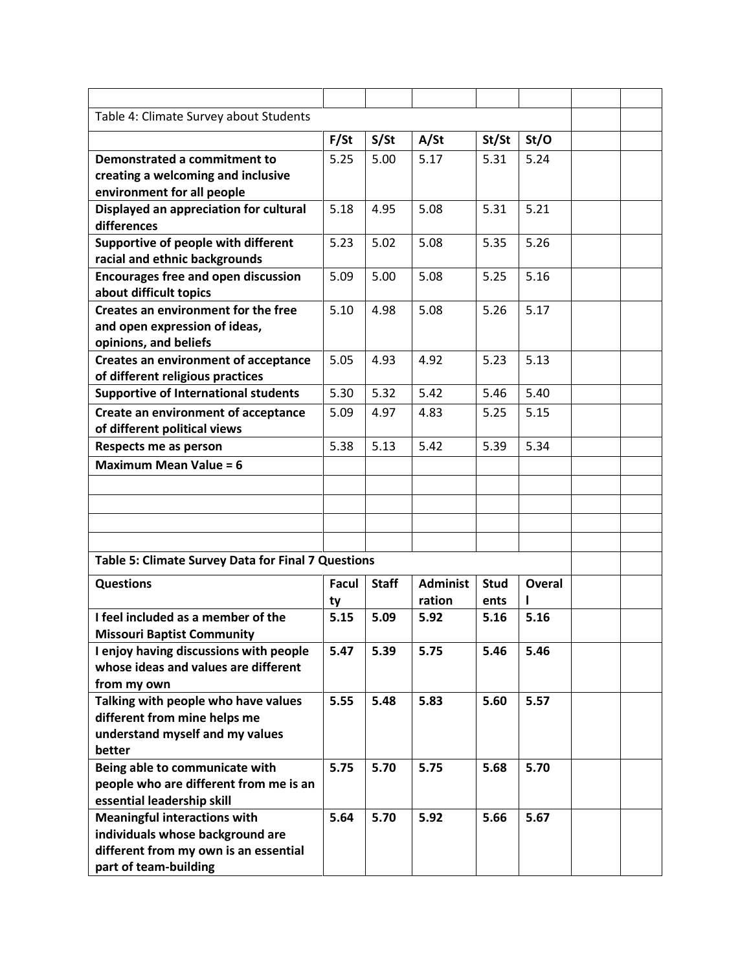| Table 4: Climate Survey about Students                    |              |              |                 |             |               |  |
|-----------------------------------------------------------|--------------|--------------|-----------------|-------------|---------------|--|
|                                                           | F/St         | S/St         | A/St            | St/St       | St/O          |  |
|                                                           |              |              |                 |             |               |  |
| Demonstrated a commitment to                              | 5.25         | 5.00         | 5.17            | 5.31        | 5.24          |  |
| creating a welcoming and inclusive                        |              |              |                 |             |               |  |
| environment for all people                                |              |              |                 |             |               |  |
| Displayed an appreciation for cultural                    | 5.18         | 4.95         | 5.08            | 5.31        | 5.21          |  |
| differences                                               |              |              |                 |             |               |  |
| Supportive of people with different                       | 5.23         | 5.02         | 5.08            | 5.35        | 5.26          |  |
| racial and ethnic backgrounds                             |              |              |                 |             |               |  |
| <b>Encourages free and open discussion</b>                | 5.09         | 5.00         | 5.08            | 5.25        | 5.16          |  |
| about difficult topics                                    |              |              |                 |             |               |  |
| Creates an environment for the free                       | 5.10         | 4.98         | 5.08            | 5.26        | 5.17          |  |
| and open expression of ideas,                             |              |              |                 |             |               |  |
| opinions, and beliefs                                     |              |              |                 |             |               |  |
| <b>Creates an environment of acceptance</b>               | 5.05         | 4.93         | 4.92            | 5.23        | 5.13          |  |
| of different religious practices                          |              |              |                 |             |               |  |
| <b>Supportive of International students</b>               | 5.30         | 5.32         | 5.42            | 5.46        | 5.40          |  |
| <b>Create an environment of acceptance</b>                | 5.09         | 4.97         | 4.83            | 5.25        | 5.15          |  |
| of different political views                              |              |              |                 |             |               |  |
| Respects me as person                                     | 5.38         | 5.13         | 5.42            | 5.39        | 5.34          |  |
| <b>Maximum Mean Value = 6</b>                             |              |              |                 |             |               |  |
|                                                           |              |              |                 |             |               |  |
|                                                           |              |              |                 |             |               |  |
|                                                           |              |              |                 |             |               |  |
|                                                           |              |              |                 |             |               |  |
| <b>Table 5: Climate Survey Data for Final 7 Questions</b> |              |              |                 |             |               |  |
| <b>Questions</b>                                          | <b>Facul</b> | <b>Staff</b> | <b>Administ</b> | <b>Stud</b> | <b>Overal</b> |  |
|                                                           | ty           |              | ration          | ents        |               |  |
| I feel included as a member of the                        | 5.15         | 5.09         | 5.92            | 5.16        | 5.16          |  |
| <b>Missouri Baptist Community</b>                         |              |              |                 |             |               |  |
| I enjoy having discussions with people                    | 5.47         | 5.39         | 5.75            | 5.46        | 5.46          |  |
| whose ideas and values are different                      |              |              |                 |             |               |  |
| from my own                                               |              |              |                 |             |               |  |
| Talking with people who have values                       | 5.55         | 5.48         | 5.83            | 5.60        | 5.57          |  |
| different from mine helps me                              |              |              |                 |             |               |  |
| understand myself and my values                           |              |              |                 |             |               |  |
| better                                                    |              |              |                 |             |               |  |
| Being able to communicate with                            | 5.75         | 5.70         | 5.75            | 5.68        | 5.70          |  |
| people who are different from me is an                    |              |              |                 |             |               |  |
| essential leadership skill                                |              |              |                 |             |               |  |
| <b>Meaningful interactions with</b>                       | 5.64         | 5.70         | 5.92            | 5.66        | 5.67          |  |
| individuals whose background are                          |              |              |                 |             |               |  |
| different from my own is an essential                     |              |              |                 |             |               |  |
| part of team-building                                     |              |              |                 |             |               |  |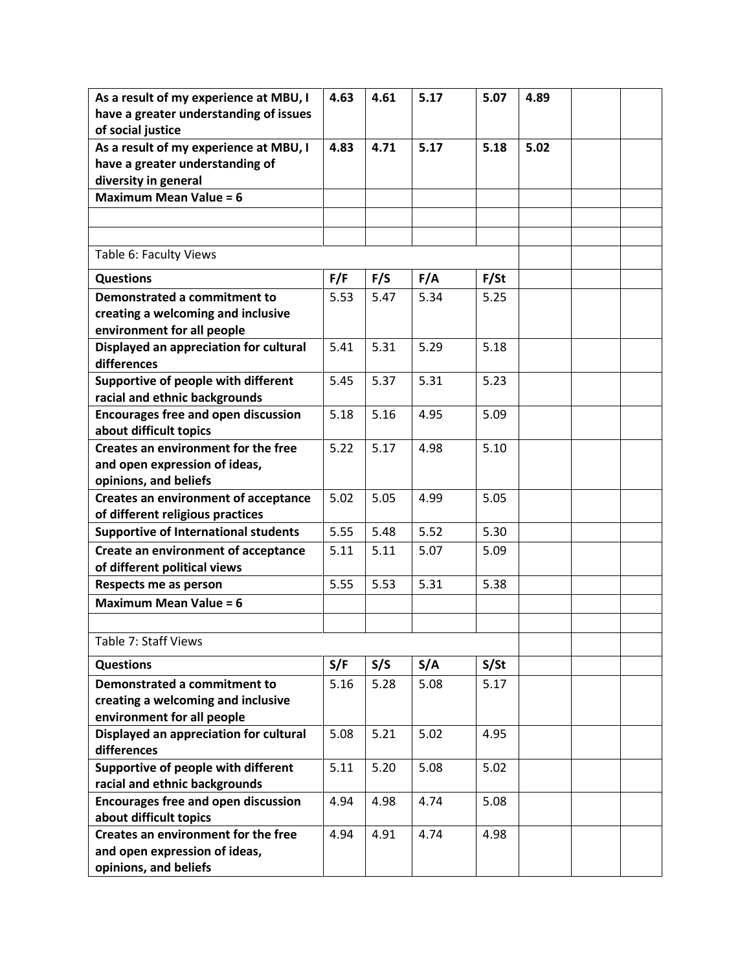| As a result of my experience at MBU, I                               | 4.63 | 4.61 | 5.17 | 5.07 | 4.89 |  |
|----------------------------------------------------------------------|------|------|------|------|------|--|
| have a greater understanding of issues                               |      |      |      |      |      |  |
| of social justice<br>As a result of my experience at MBU, I          | 4.83 | 4.71 | 5.17 | 5.18 | 5.02 |  |
| have a greater understanding of                                      |      |      |      |      |      |  |
| diversity in general                                                 |      |      |      |      |      |  |
| <b>Maximum Mean Value = 6</b>                                        |      |      |      |      |      |  |
|                                                                      |      |      |      |      |      |  |
|                                                                      |      |      |      |      |      |  |
| Table 6: Faculty Views                                               |      |      |      |      |      |  |
| <b>Questions</b>                                                     | F/F  | F/S  | F/A  | F/St |      |  |
| Demonstrated a commitment to                                         | 5.53 | 5.47 | 5.34 | 5.25 |      |  |
| creating a welcoming and inclusive                                   |      |      |      |      |      |  |
| environment for all people                                           |      |      |      |      |      |  |
| Displayed an appreciation for cultural                               | 5.41 | 5.31 | 5.29 | 5.18 |      |  |
| differences                                                          |      |      |      |      |      |  |
| Supportive of people with different                                  | 5.45 | 5.37 | 5.31 | 5.23 |      |  |
| racial and ethnic backgrounds                                        | 5.18 | 5.16 |      |      |      |  |
| <b>Encourages free and open discussion</b><br>about difficult topics |      |      | 4.95 | 5.09 |      |  |
| Creates an environment for the free                                  | 5.22 | 5.17 | 4.98 | 5.10 |      |  |
| and open expression of ideas,                                        |      |      |      |      |      |  |
| opinions, and beliefs                                                |      |      |      |      |      |  |
| <b>Creates an environment of acceptance</b>                          | 5.02 | 5.05 | 4.99 | 5.05 |      |  |
| of different religious practices                                     |      |      |      |      |      |  |
| <b>Supportive of International students</b>                          | 5.55 | 5.48 | 5.52 | 5.30 |      |  |
| Create an environment of acceptance                                  | 5.11 | 5.11 | 5.07 | 5.09 |      |  |
| of different political views                                         |      |      |      |      |      |  |
| Respects me as person                                                | 5.55 | 5.53 | 5.31 | 5.38 |      |  |
| <b>Maximum Mean Value = 6</b>                                        |      |      |      |      |      |  |
|                                                                      |      |      |      |      |      |  |
| Table 7: Staff Views                                                 |      |      |      |      |      |  |
| <b>Questions</b>                                                     | S/F  | S/S  | S/A  | S/St |      |  |
| Demonstrated a commitment to                                         | 5.16 | 5.28 | 5.08 | 5.17 |      |  |
| creating a welcoming and inclusive                                   |      |      |      |      |      |  |
| environment for all people                                           |      |      |      |      |      |  |
| Displayed an appreciation for cultural<br>differences                | 5.08 | 5.21 | 5.02 | 4.95 |      |  |
| Supportive of people with different                                  | 5.11 | 5.20 | 5.08 | 5.02 |      |  |
| racial and ethnic backgrounds                                        |      |      |      |      |      |  |
| <b>Encourages free and open discussion</b>                           | 4.94 | 4.98 | 4.74 | 5.08 |      |  |
| about difficult topics                                               |      |      |      |      |      |  |
| Creates an environment for the free                                  | 4.94 | 4.91 | 4.74 | 4.98 |      |  |
| and open expression of ideas,                                        |      |      |      |      |      |  |
| opinions, and beliefs                                                |      |      |      |      |      |  |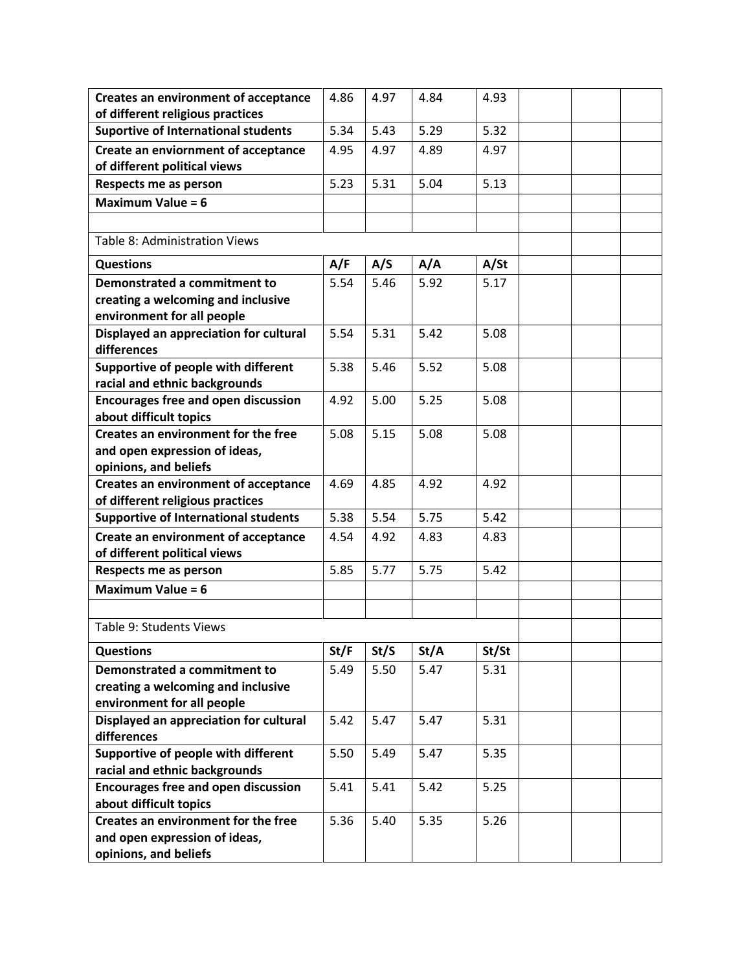| <b>Creates an environment of acceptance</b>                          | 4.86 | 4.97 | 4.84 | 4.93  |  |  |
|----------------------------------------------------------------------|------|------|------|-------|--|--|
| of different religious practices                                     |      |      |      |       |  |  |
| <b>Suportive of International students</b>                           | 5.34 | 5.43 | 5.29 | 5.32  |  |  |
| Create an enviornment of acceptance                                  | 4.95 | 4.97 | 4.89 | 4.97  |  |  |
| of different political views                                         |      |      |      |       |  |  |
| Respects me as person                                                | 5.23 | 5.31 | 5.04 | 5.13  |  |  |
| <b>Maximum Value = 6</b>                                             |      |      |      |       |  |  |
|                                                                      |      |      |      |       |  |  |
| Table 8: Administration Views                                        |      |      |      |       |  |  |
| <b>Questions</b>                                                     | A/F  | A/S  | A/A  | A/St  |  |  |
| Demonstrated a commitment to                                         | 5.54 | 5.46 | 5.92 | 5.17  |  |  |
| creating a welcoming and inclusive                                   |      |      |      |       |  |  |
| environment for all people                                           |      |      |      |       |  |  |
| Displayed an appreciation for cultural<br>differences                | 5.54 | 5.31 | 5.42 | 5.08  |  |  |
| Supportive of people with different<br>racial and ethnic backgrounds | 5.38 | 5.46 | 5.52 | 5.08  |  |  |
| <b>Encourages free and open discussion</b>                           | 4.92 | 5.00 | 5.25 | 5.08  |  |  |
| about difficult topics                                               |      |      |      |       |  |  |
| Creates an environment for the free                                  | 5.08 | 5.15 | 5.08 | 5.08  |  |  |
| and open expression of ideas,                                        |      |      |      |       |  |  |
| opinions, and beliefs                                                |      |      |      |       |  |  |
| <b>Creates an environment of acceptance</b>                          | 4.69 | 4.85 | 4.92 | 4.92  |  |  |
| of different religious practices                                     |      |      |      |       |  |  |
| <b>Supportive of International students</b>                          | 5.38 | 5.54 | 5.75 | 5.42  |  |  |
| Create an environment of acceptance                                  | 4.54 | 4.92 | 4.83 | 4.83  |  |  |
| of different political views                                         |      |      |      |       |  |  |
| Respects me as person                                                | 5.85 | 5.77 | 5.75 | 5.42  |  |  |
| <b>Maximum Value = 6</b>                                             |      |      |      |       |  |  |
|                                                                      |      |      |      |       |  |  |
| Table 9: Students Views                                              |      |      |      |       |  |  |
| <b>Questions</b>                                                     | St/F | St/S | St/A | St/St |  |  |
| Demonstrated a commitment to                                         | 5.49 | 5.50 | 5.47 | 5.31  |  |  |
| creating a welcoming and inclusive                                   |      |      |      |       |  |  |
| environment for all people                                           |      |      |      |       |  |  |
| Displayed an appreciation for cultural<br>differences                | 5.42 | 5.47 | 5.47 | 5.31  |  |  |
| Supportive of people with different                                  | 5.50 | 5.49 | 5.47 | 5.35  |  |  |
| racial and ethnic backgrounds                                        |      |      |      |       |  |  |
| <b>Encourages free and open discussion</b>                           | 5.41 | 5.41 | 5.42 | 5.25  |  |  |
| about difficult topics                                               |      |      |      |       |  |  |
| Creates an environment for the free                                  | 5.36 | 5.40 | 5.35 | 5.26  |  |  |
| and open expression of ideas,                                        |      |      |      |       |  |  |
| opinions, and beliefs                                                |      |      |      |       |  |  |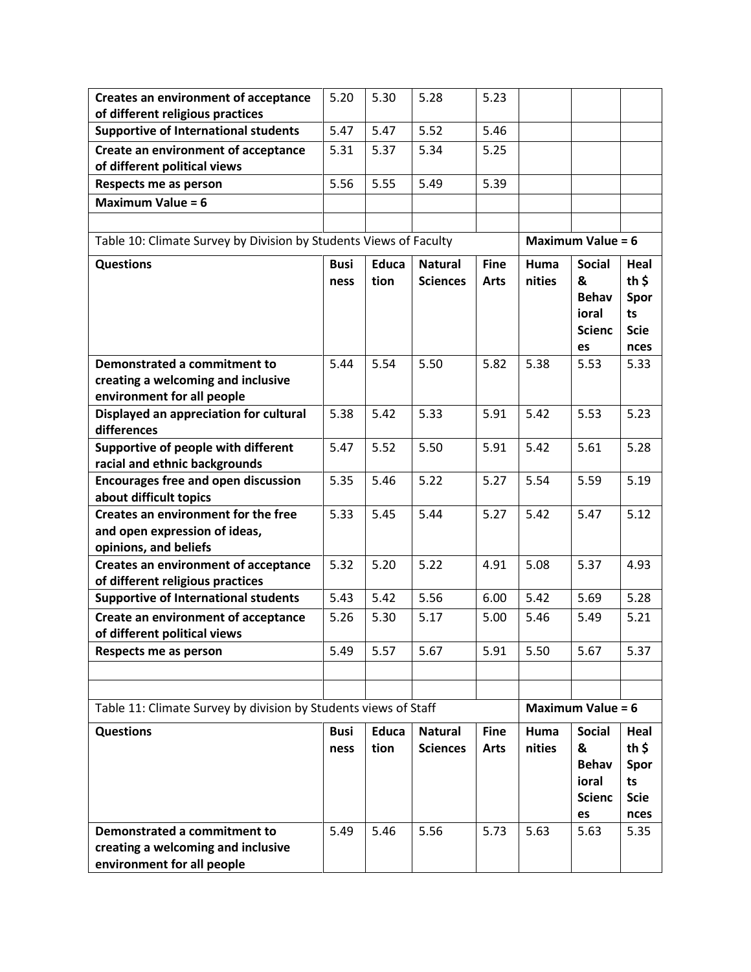| <b>Creates an environment of acceptance</b>                                                      | 5.20        | 5.30         | 5.28            | 5.23        |        |                                                   |                                                       |
|--------------------------------------------------------------------------------------------------|-------------|--------------|-----------------|-------------|--------|---------------------------------------------------|-------------------------------------------------------|
| of different religious practices<br><b>Supportive of International students</b>                  | 5.47        | 5.47         | 5.52            | 5.46        |        |                                                   |                                                       |
| Create an environment of acceptance                                                              | 5.31        | 5.37         | 5.34            | 5.25        |        |                                                   |                                                       |
| of different political views                                                                     |             |              |                 |             |        |                                                   |                                                       |
| Respects me as person                                                                            | 5.56        | 5.55         | 5.49            | 5.39        |        |                                                   |                                                       |
| <b>Maximum Value = 6</b>                                                                         |             |              |                 |             |        |                                                   |                                                       |
|                                                                                                  |             |              |                 |             |        |                                                   |                                                       |
| Table 10: Climate Survey by Division by Students Views of Faculty                                |             |              |                 |             |        | Maximum Value = $6$                               |                                                       |
|                                                                                                  |             |              |                 |             |        |                                                   |                                                       |
| <b>Questions</b>                                                                                 | <b>Busi</b> | <b>Educa</b> | <b>Natural</b>  | <b>Fine</b> | Huma   | <b>Social</b>                                     | Heal                                                  |
|                                                                                                  | ness        | tion         | <b>Sciences</b> | <b>Arts</b> | nities | &<br><b>Behav</b>                                 | th $\frac{1}{2}$<br>Spor                              |
|                                                                                                  |             |              |                 |             |        | ioral                                             | ts                                                    |
|                                                                                                  |             |              |                 |             |        | <b>Scienc</b>                                     | <b>Scie</b>                                           |
|                                                                                                  |             |              |                 |             |        | es                                                | nces                                                  |
| <b>Demonstrated a commitment to</b>                                                              | 5.44        | 5.54         | 5.50            | 5.82        | 5.38   | 5.53                                              | 5.33                                                  |
| creating a welcoming and inclusive                                                               |             |              |                 |             |        |                                                   |                                                       |
| environment for all people                                                                       |             |              |                 |             |        |                                                   |                                                       |
| Displayed an appreciation for cultural<br>differences                                            | 5.38        | 5.42         | 5.33            | 5.91        | 5.42   | 5.53                                              | 5.23                                                  |
| Supportive of people with different<br>racial and ethnic backgrounds                             | 5.47        | 5.52         | 5.50            | 5.91        | 5.42   | 5.61                                              | 5.28                                                  |
| <b>Encourages free and open discussion</b><br>about difficult topics                             | 5.35        | 5.46         | 5.22            | 5.27        | 5.54   | 5.59                                              | 5.19                                                  |
| Creates an environment for the free                                                              | 5.33        | 5.45         | 5.44            | 5.27        | 5.42   | 5.47                                              | 5.12                                                  |
| and open expression of ideas,                                                                    |             |              |                 |             |        |                                                   |                                                       |
| opinions, and beliefs                                                                            |             |              |                 |             |        |                                                   |                                                       |
| <b>Creates an environment of acceptance</b>                                                      | 5.32        | 5.20         | 5.22            | 4.91        | 5.08   | 5.37                                              | 4.93                                                  |
| of different religious practices                                                                 |             |              |                 |             |        |                                                   |                                                       |
| <b>Supportive of International students</b>                                                      | 5.43        | 5.42         | 5.56            | 6.00        | 5.42   | 5.69                                              | 5.28                                                  |
| Create an environment of acceptance                                                              | 5.26        | 5.30         | 5.17            | 5.00        | 5.46   | 5.49                                              | 5.21                                                  |
| of different political views<br>Respects me as person                                            | 5.49        | 5.57         | 5.67            | 5.91        | 5.50   | 5.67                                              | 5.37                                                  |
|                                                                                                  |             |              |                 |             |        |                                                   |                                                       |
|                                                                                                  |             |              |                 |             |        |                                                   |                                                       |
| Table 11: Climate Survey by division by Students views of Staff                                  |             |              |                 |             |        | <b>Maximum Value = 6</b>                          |                                                       |
| <b>Questions</b>                                                                                 | <b>Busi</b> | Educa        | <b>Natural</b>  | <b>Fine</b> | Huma   | <b>Social</b>                                     | Heal                                                  |
|                                                                                                  | ness        | tion         | <b>Sciences</b> | <b>Arts</b> | nities | &<br><b>Behav</b><br>ioral<br><b>Scienc</b><br>es | th $\frac{1}{2}$<br>Spor<br>ts<br><b>Scie</b><br>nces |
| Demonstrated a commitment to<br>creating a welcoming and inclusive<br>environment for all people | 5.49        | 5.46         | 5.56            | 5.73        | 5.63   | 5.63                                              | 5.35                                                  |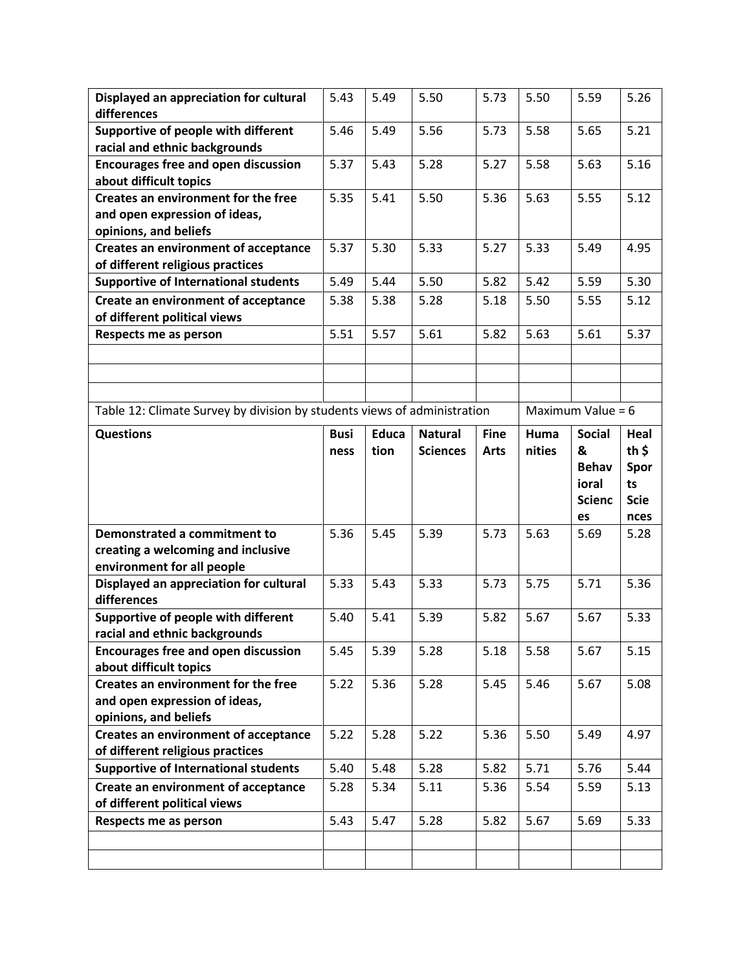| Displayed an appreciation for cultural<br>differences                    | 5.43        | 5.49         | 5.50            | 5.73        | 5.50   | 5.59          | 5.26              |  |  |  |  |
|--------------------------------------------------------------------------|-------------|--------------|-----------------|-------------|--------|---------------|-------------------|--|--|--|--|
| Supportive of people with different                                      | 5.46        | 5.49         | 5.56            | 5.73        | 5.58   | 5.65          | 5.21              |  |  |  |  |
| racial and ethnic backgrounds                                            |             |              |                 |             |        |               |                   |  |  |  |  |
| <b>Encourages free and open discussion</b>                               | 5.37        | 5.43         | 5.28            | 5.27        | 5.58   | 5.63          | 5.16              |  |  |  |  |
| about difficult topics                                                   |             |              |                 |             |        |               |                   |  |  |  |  |
| Creates an environment for the free                                      | 5.35        | 5.41         | 5.50            | 5.36        | 5.63   | 5.55          | 5.12              |  |  |  |  |
| and open expression of ideas,                                            |             |              |                 |             |        |               |                   |  |  |  |  |
| opinions, and beliefs                                                    |             |              |                 |             |        |               |                   |  |  |  |  |
| <b>Creates an environment of acceptance</b>                              | 5.37        | 5.30         | 5.33            | 5.27        | 5.33   | 5.49          | 4.95              |  |  |  |  |
| of different religious practices                                         |             |              |                 |             |        |               |                   |  |  |  |  |
| <b>Supportive of International students</b>                              | 5.49        | 5.44         | 5.50            | 5.82        | 5.42   | 5.59          | 5.30              |  |  |  |  |
| Create an environment of acceptance                                      | 5.38        | 5.38         | 5.28            | 5.18        | 5.50   | 5.55          | 5.12              |  |  |  |  |
| of different political views                                             |             |              |                 |             |        |               |                   |  |  |  |  |
| Respects me as person                                                    | 5.51        | 5.57         | 5.61            | 5.82        | 5.63   | 5.61          | 5.37              |  |  |  |  |
|                                                                          |             |              |                 |             |        |               |                   |  |  |  |  |
|                                                                          |             |              |                 |             |        |               |                   |  |  |  |  |
|                                                                          |             |              |                 |             |        |               |                   |  |  |  |  |
| Table 12: Climate Survey by division by students views of administration |             |              |                 |             |        |               | Maximum Value = 6 |  |  |  |  |
| <b>Questions</b>                                                         | <b>Busi</b> | <b>Educa</b> | <b>Natural</b>  | <b>Fine</b> | Huma   | <b>Social</b> | Heal              |  |  |  |  |
|                                                                          | ness        | tion         | <b>Sciences</b> | <b>Arts</b> | nities | &             | th $\frac{1}{2}$  |  |  |  |  |
|                                                                          |             |              |                 |             |        | <b>Behav</b>  | Spor              |  |  |  |  |
|                                                                          |             |              |                 |             |        |               |                   |  |  |  |  |
|                                                                          |             |              |                 |             |        | ioral         | ts                |  |  |  |  |
|                                                                          |             |              |                 |             |        | <b>Scienc</b> | <b>Scie</b>       |  |  |  |  |
|                                                                          |             |              |                 |             |        | es            | nces              |  |  |  |  |
| Demonstrated a commitment to                                             | 5.36        | 5.45         | 5.39            | 5.73        | 5.63   | 5.69          | 5.28              |  |  |  |  |
| creating a welcoming and inclusive                                       |             |              |                 |             |        |               |                   |  |  |  |  |
| environment for all people                                               |             |              |                 |             |        |               |                   |  |  |  |  |
| Displayed an appreciation for cultural                                   | 5.33        | 5.43         | 5.33            | 5.73        | 5.75   | 5.71          | 5.36              |  |  |  |  |
| differences                                                              |             |              |                 |             |        |               |                   |  |  |  |  |
| Supportive of people with different                                      | 5.40        | 5.41         | 5.39            | 5.82        | 5.67   | 5.67          | 5.33              |  |  |  |  |
| racial and ethnic backgrounds                                            |             |              |                 |             |        |               |                   |  |  |  |  |
| <b>Encourages free and open discussion</b>                               | 5.45        | 5.39         | 5.28            | 5.18        | 5.58   | 5.67          | 5.15              |  |  |  |  |
| about difficult topics<br>Creates an environment for the free            |             | 5.36         | 5.28            | 5.45        | 5.46   | 5.67          | 5.08              |  |  |  |  |
| and open expression of ideas,                                            | 5.22        |              |                 |             |        |               |                   |  |  |  |  |
| opinions, and beliefs                                                    |             |              |                 |             |        |               |                   |  |  |  |  |
| <b>Creates an environment of acceptance</b>                              | 5.22        | 5.28         | 5.22            | 5.36        | 5.50   | 5.49          | 4.97              |  |  |  |  |
| of different religious practices                                         |             |              |                 |             |        |               |                   |  |  |  |  |
| <b>Supportive of International students</b>                              | 5.40        | 5.48         | 5.28            | 5.82        | 5.71   | 5.76          | 5.44              |  |  |  |  |
| Create an environment of acceptance                                      | 5.28        | 5.34         | 5.11            | 5.36        | 5.54   | 5.59          | 5.13              |  |  |  |  |
| of different political views                                             |             |              |                 |             |        |               |                   |  |  |  |  |
| Respects me as person                                                    | 5.43        | 5.47         | 5.28            | 5.82        | 5.67   | 5.69          | 5.33              |  |  |  |  |
|                                                                          |             |              |                 |             |        |               |                   |  |  |  |  |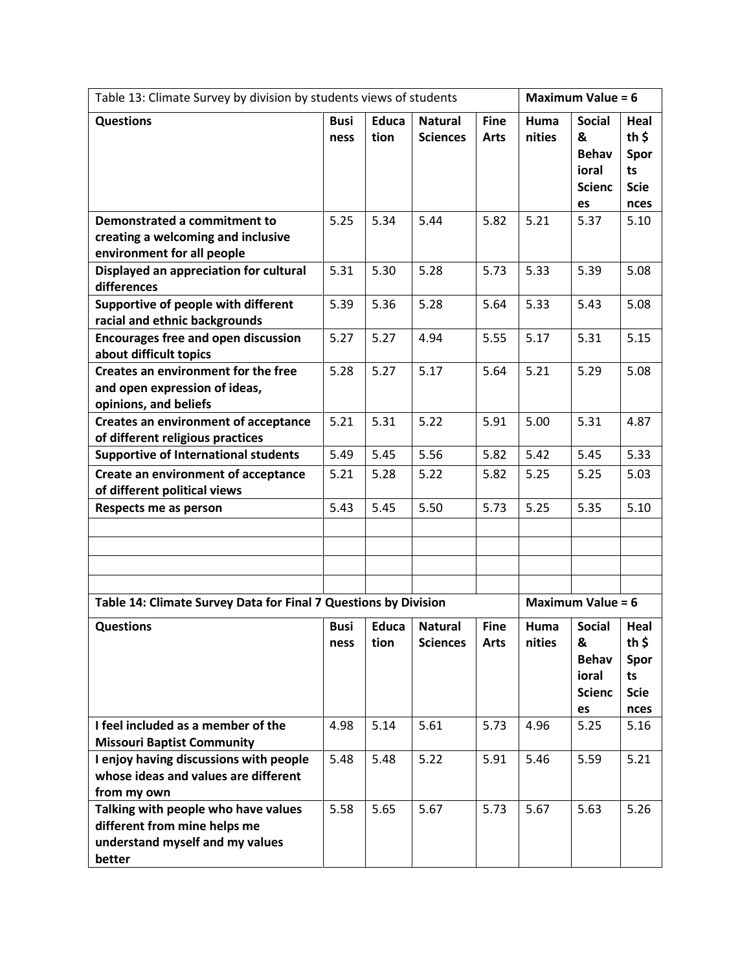| Table 13: Climate Survey by division by students views of students                                               |                     |                      |                                   |                            |                | <b>Maximum Value = 6</b>                                           |                                                               |  |
|------------------------------------------------------------------------------------------------------------------|---------------------|----------------------|-----------------------------------|----------------------------|----------------|--------------------------------------------------------------------|---------------------------------------------------------------|--|
| <b>Questions</b>                                                                                                 | <b>Busi</b><br>ness | <b>Educa</b><br>tion | <b>Natural</b><br><b>Sciences</b> | <b>Fine</b><br><b>Arts</b> | Huma<br>nities | <b>Social</b><br>&<br><b>Behav</b><br>ioral<br><b>Scienc</b><br>es | Heal<br>th $\frac{1}{2}$<br>Spor<br>ts<br><b>Scie</b><br>nces |  |
| Demonstrated a commitment to<br>creating a welcoming and inclusive<br>environment for all people                 | 5.25                | 5.34                 | 5.44                              | 5.82                       | 5.21           | 5.37                                                               | 5.10                                                          |  |
| Displayed an appreciation for cultural<br>differences                                                            | 5.31                | 5.30                 | 5.28                              | 5.73                       | 5.33           | 5.39                                                               | 5.08                                                          |  |
| Supportive of people with different<br>racial and ethnic backgrounds                                             | 5.39                | 5.36                 | 5.28                              | 5.64                       | 5.33           | 5.43                                                               | 5.08                                                          |  |
| <b>Encourages free and open discussion</b><br>about difficult topics                                             | 5.27                | 5.27                 | 4.94                              | 5.55                       | 5.17           | 5.31                                                               | 5.15                                                          |  |
| Creates an environment for the free<br>and open expression of ideas,<br>opinions, and beliefs                    | 5.28                | 5.27                 | 5.17                              | 5.64                       | 5.21           | 5.29                                                               | 5.08                                                          |  |
| <b>Creates an environment of acceptance</b><br>of different religious practices                                  | 5.21                | 5.31                 | 5.22                              | 5.91                       | 5.00           | 5.31                                                               | 4.87                                                          |  |
| <b>Supportive of International students</b>                                                                      | 5.49                | 5.45                 | 5.56                              | 5.82                       | 5.42           | 5.45                                                               | 5.33                                                          |  |
| <b>Create an environment of acceptance</b><br>of different political views                                       | 5.21                | 5.28                 | 5.22                              | 5.82                       | 5.25           | 5.25                                                               | 5.03                                                          |  |
| Respects me as person                                                                                            | 5.43                | 5.45                 | 5.50                              | 5.73                       | 5.25           | 5.35                                                               | 5.10                                                          |  |
|                                                                                                                  |                     |                      |                                   |                            |                |                                                                    |                                                               |  |
|                                                                                                                  |                     |                      |                                   |                            |                |                                                                    |                                                               |  |
|                                                                                                                  |                     |                      |                                   |                            |                |                                                                    |                                                               |  |
|                                                                                                                  |                     |                      |                                   |                            |                |                                                                    |                                                               |  |
| Table 14: Climate Survey Data for Final 7 Questions by Division                                                  |                     |                      |                                   |                            |                | <b>Maximum Value = 6</b>                                           |                                                               |  |
| <b>Questions</b>                                                                                                 | <b>Busi</b><br>ness | <b>Educa</b><br>tion | <b>Natural</b><br><b>Sciences</b> | <b>Fine</b><br><b>Arts</b> | Huma<br>nities | <b>Social</b><br>&<br><b>Behav</b><br>ioral<br><b>Scienc</b><br>es | Heal<br>th \$<br>Spor<br>ts<br><b>Scie</b><br>nces            |  |
| I feel included as a member of the<br><b>Missouri Baptist Community</b>                                          | 4.98                | 5.14                 | 5.61                              | 5.73                       | 4.96           | 5.25                                                               | 5.16                                                          |  |
| I enjoy having discussions with people<br>whose ideas and values are different<br>from my own                    | 5.48                | 5.48                 | 5.22                              | 5.91                       | 5.46           | 5.59                                                               | 5.21                                                          |  |
| Talking with people who have values<br>different from mine helps me<br>understand myself and my values<br>better | 5.58                | 5.65                 | 5.67                              | 5.73                       | 5.67           | 5.63                                                               | 5.26                                                          |  |